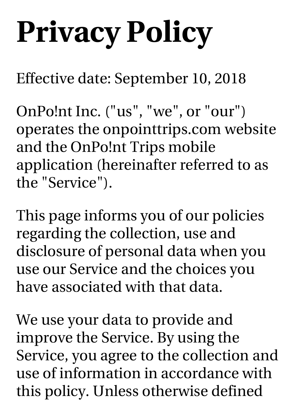# **Privacy Policy**

Effective date: September 10, 2018

OnPo!nt Inc. ("us" , "we" , or "our") operates the onpointtrips.com website and the OnPo!nt Trips mobile application (hereinafter referred to as the "Service").

This page informs you of our policies regarding the collection, use and disclosure of personal data when you use our Service and the choices you have associated with that data.

We use your data to provide and improve the Service. By using the Service, you agree to the collection and use of information in accordance with this policy. Unless otherwise defined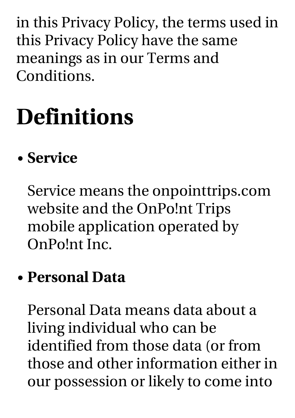in this Privacy Policy, the terms used in this Privacy Policy have the same meanings as in our Terms and Conditions.

## **Definitions**

#### **Service**

Service means the onpointtrips.com website and the OnPo!nt Trips mobile application operated by OnPo!nt Inc.

#### **Personal Data**

Personal Data means data about a living individual who can be identified from those data (or from those and other information either in our possession or likely to come into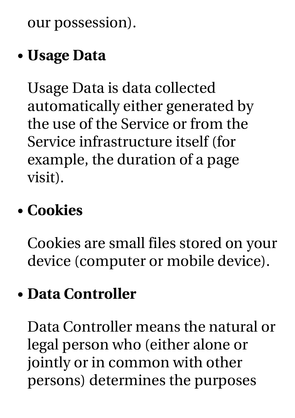our possession).

#### **Usage Data**

Usage Data is data collected automatically either generated by the use of the Service or from the Service infrastructure itself (for example, the duration of a page visit).

#### **Cookies**

Cookies are small files stored on your device (computer or mobile device).

#### **Data Controller**

Data Controller means the natural or legal person who (either alone or jointly or in common with other persons) determines the purposes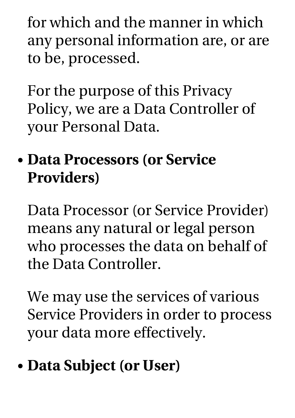for which and the manner in which any personal information are, or are to be, processed.

For the purpose of this Privacy Policy, we are a Data Controller of your Personal Data.

#### **Data Processors (or Service Providers)**

Data Processor (or Service Provider) means any natural or legal person who processes the data on behalf of the Data Controller.

We may use the services of various Service Providers in order to process your data more effectively.

#### **Data Subject (or User)**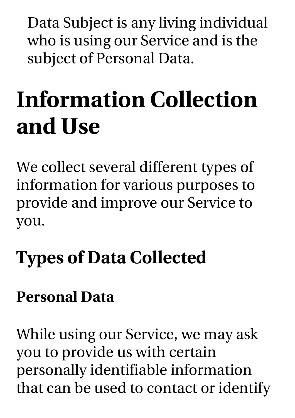Data Subject is any living individual who is using our Service and is the subject of Personal Data.

### **Information Collection and Use**

We collect several different types of information for various purposes to provide and improve our Service to you.

### **Types of Data Collected**

#### **Personal Data**

While using our Service, we may ask you to provide us with certain personally identifiable information that can be used to contact or identify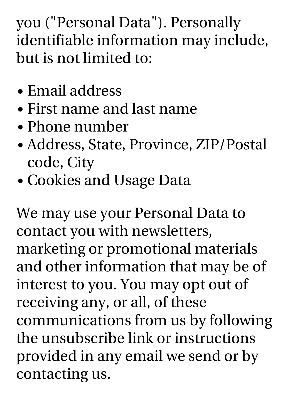you ("Personal Data"). Personally identifiable information may include, but is not limited to:

- Email address
- First name and last name
- Phone number
- Address, State, Province, ZIP/Postal code, City
- Cookies and Usage Data

We may use your Personal Data to contact you with newsletters, marketing or promotional materials and other information that may be of interest to you. You may opt out of receiving any, or all, of these communications from us by following the unsubscribe link or instructions provided in any email we send or by contacting us.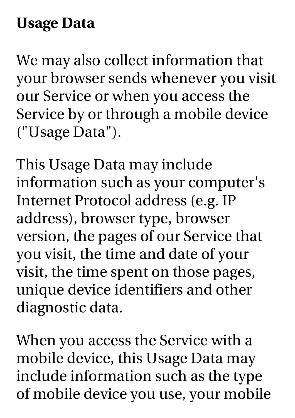#### **Usage Data**

We may also collect information that your browser sends whenever you visit our Service or when you access the Service by or through a mobile device ("Usage Data").

This Usage Data may include information such as your computer's Internet Protocol address (e.g. IP address), browser type, browser version, the pages of our Service that you visit, the time and date of your visit, the time spent on those pages, unique device identifiers and other diagnostic data.

When you access the Service with a mobile device, this Usage Data may include information such as the type of mobile device you use, your mobile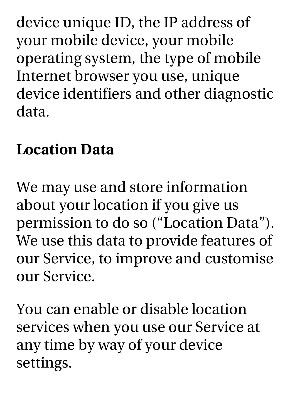device unique ID, the IP address of your mobile device, your mobile operating system, the type of mobile Internet browser you use, unique device identifiers and other diagnostic data.

#### **Location Data**

We may use and store information about your location if you give us permission to do so ("Location Data"). We use this data to provide features of our Service, to improve and customise our Service.

You can enable or disable location services when you use our Service at any time by way of your device settings.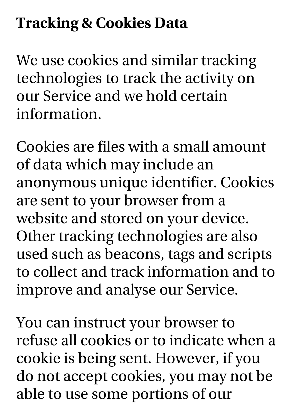#### **Tracking & Cookies Data**

We use cookies and similar tracking technologies to track the activity on our Service and we hold certain information.

Cookies are files with a small amount of data which may include an anonymous unique identifier. Cookies are sent to your browser from a website and stored on your device. Other tracking technologies are also used such as beacons, tags and scripts to collect and track information and to improve and analyse our Service.

You can instruct your browser to refuse all cookies or to indicate when a cookie is being sent. However, if you do not accept cookies, you may not be able to use some portions of our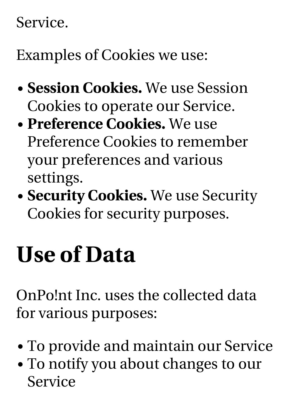#### Service.

Examples of Cookies we use:

- **Session Cookies.** We use Session Cookies to operate our Service.
- **Preference Cookies.** We use Preference Cookies to remember your preferences and various settings.
- **Security Cookies.** We use Security Cookies for security purposes.

### **Use of Data**

OnPo!nt Inc. uses the collected data for various purposes:

- To provide and maintain our Service
- To notify you about changes to our Service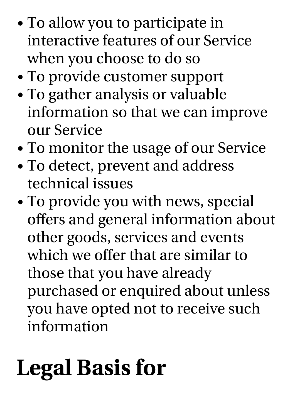- To allow you to participate in interactive features of our Service when you choose to do so
- To provide customer support
- To gather analysis or valuable information so that we can improve our Service
- To monitor the usage of our Service
- To detect, prevent and address technical issues
- To provide you with news, special offers and general information about other goods, services and events which we offer that are similar to those that you have already purchased or enquired about unless you have opted not to receive such information

## **Legal Basis for**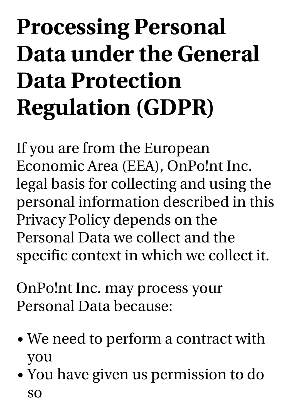## **Processing Personal Data under the General Data Protection Regulation (GDPR)**

If you are from the European Economic Area (EEA), OnPo!nt Inc. legal basis for collecting and using the personal information described in this Privacy Policy depends on the Personal Data we collect and the specific context in which we collect it.

OnPo!nt Inc. may process your Personal Data because:

- We need to perform a contract with you
- You have given us permission to do so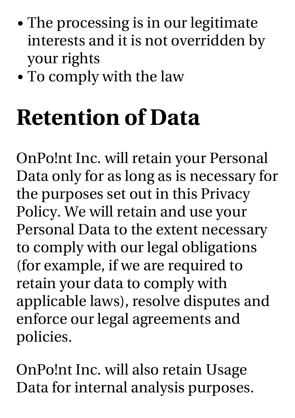- The processing is in our legitimate interests and it is not overridden by your rights
- To comply with the law

### **Retention of Data**

OnPo!nt Inc. will retain your Personal Data only for as long as is necessary for the purposes set out in this Privacy Policy. We will retain and use your Personal Data to the extent necessary to comply with our legal obligations (for example, if we are required to retain your data to comply with applicable laws), resolve disputes and enforce our legal agreements and policies.

OnPo!nt Inc. will also retain Usage Data for internal analysis purposes.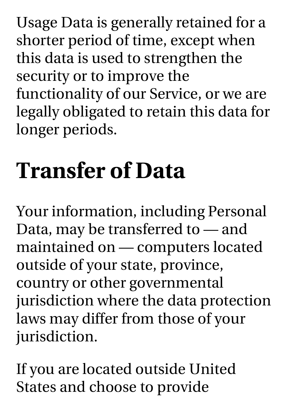Usage Data is generally retained for a shorter period of time, except when this data is used to strengthen the security or to improve the functionality of our Service, or we are legally obligated to retain this data for longer periods.

### **Transfer of Data**

Your information, including Personal Data, may be transferred to — and maintained on — computers located outside of your state, province, country or other governmental jurisdiction where the data protection laws may differ from those of your jurisdiction.

If you are located outside United States and choose to provide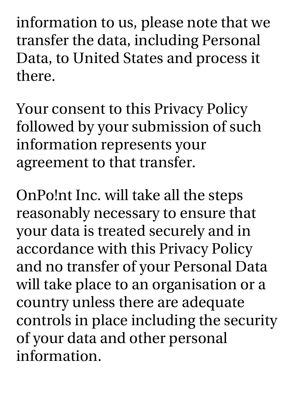information to us, please note that we transfer the data, including Personal Data, to United States and process it there.

Your consent to this Privacy Policy followed by your submission of such information represents your agreement to that transfer.

OnPo!nt Inc. will take all the steps reasonably necessary to ensure that your data is treated securely and in accordance with this Privacy Policy and no transfer of your Personal Data will take place to an organisation or a country unless there are adequate controls in place including the security of your data and other personal information.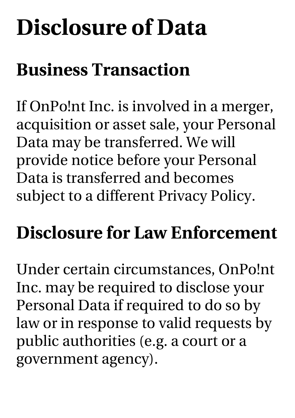### **Disclosure of Data**

### **Business Transaction**

If OnPo!nt Inc. is involved in a merger, acquisition or asset sale, your Personal Data may be transferred. We will provide notice before your Personal Data is transferred and becomes subject to a different Privacy Policy.

### **Disclosure for Law Enforcement**

Under certain circumstances, OnPo!nt Inc. may be required to disclose your Personal Data if required to do so by law or in response to valid requests by public authorities (e.g. a court or a government agency).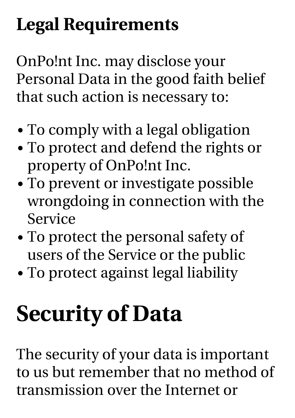### **Legal Requirements**

OnPo!nt Inc. may disclose your Personal Data in the good faith belief that such action is necessary to:

- To comply with a legal obligation
- To protect and defend the rights or property of OnPo!nt Inc.
- To prevent or investigate possible wrongdoing in connection with the Service
- To protect the personal safety of users of the Service or the public
- To protect against legal liability

## **Security of Data**

The security of your data is important to us but remember that no method of transmission over the Internet or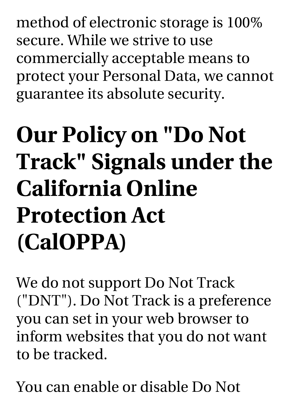method of electronic storage is 100% secure. While we strive to use commercially acceptable means to protect your Personal Data, we cannot guarantee its absolute security.

### **Our Policy on "Do Not Track" Signals under the California Online Protection Act (CalOPPA)**

We do not support Do Not Track ("DNT"). Do Not Track is a preference you can set in your web browser to inform websites that you do not want to be tracked.

You can enable or disable Do Not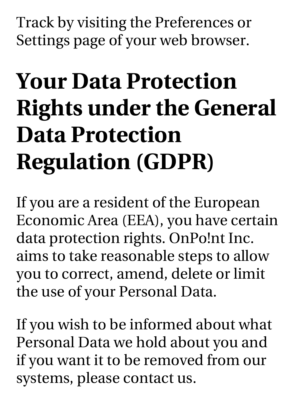Track by visiting the Preferences or Settings page of your web browser.

### **Your Data Protection Rights under the General Data Protection Regulation (GDPR)**

If you are a resident of the European Economic Area (EEA), you have certain data protection rights. OnPo!nt Inc. aims to take reasonable steps to allow you to correct, amend, delete or limit the use of your Personal Data.

If you wish to be informed about what Personal Data we hold about you and if you want it to be removed from our systems, please contact us.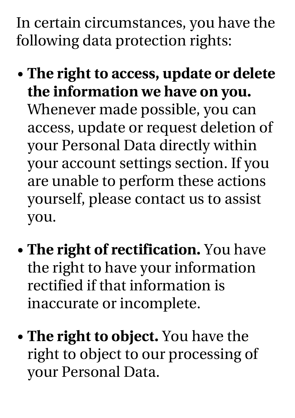In certain circumstances, you have the following data protection rights:

- **The right to access, update or delete the information we have on you.** Whenever made possible, you can access, update or request deletion of your Personal Data directly within your account settings section. If you are unable to perform these actions yourself, please contact us to assist you.
- **The right of rectification.** You have the right to have your information rectified if that information is inaccurate or incomplete.
- **The right to object.** You have the right to object to our processing of your Personal Data.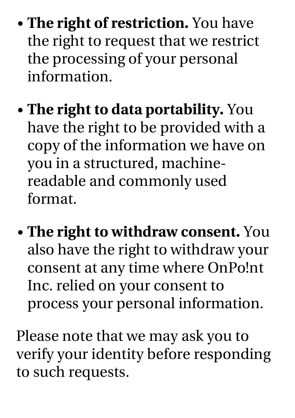- **The right of restriction.** You have the right to request that we restrict the processing of your personal information.
- **The right to data portability.** You have the right to be provided with a copy of the information we have on you in a structured, machinereadable and commonly used format.
- **The right to withdraw consent.** You also have the right to withdraw your consent at any time where OnPo!nt Inc. relied on your consent to process your personal information.

Please note that we may ask you to verify your identity before responding to such requests.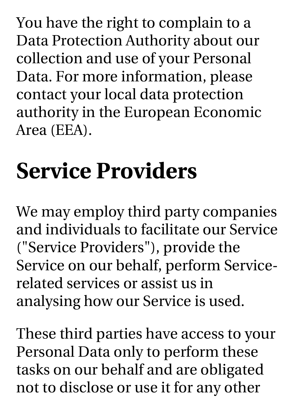You have the right to complain to a Data Protection Authority about our collection and use of your Personal Data. For more information, please contact your local data protection authority in the European Economic Area (EEA).

### **Service Providers**

We may employ third party companies and individuals to facilitate our Service ("Service Providers"), provide the Service on our behalf, perform Servicerelated services or assist us in analysing how our Service is used.

These third parties have access to your Personal Data only to perform these tasks on our behalf and are obligated not to disclose or use it for any other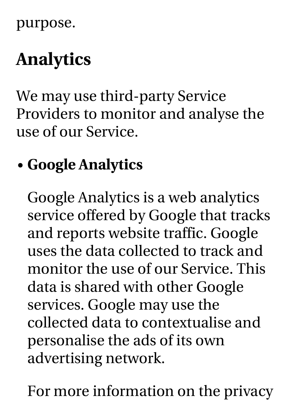purpose.

### **Analytics**

We may use third-party Service Providers to monitor and analyse the use of our Service.

#### **Google Analytics**

Google Analytics is a web analytics service offered by Google that tracks and reports website traffic. Google uses the data collected to track and monitor the use of our Service. This data is shared with other Google services. Google may use the collected data to contextualise and personalise the ads of its own advertising network.

For more information on the privacy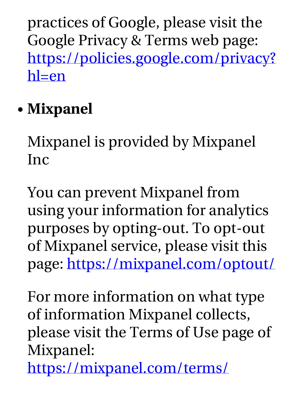practices of Google, please visit the Google Privacy & Terms web page: [https://policies.google.com/privacy?](https://policies.google.com/privacy?hl=en) hl=en

#### **Mixpanel**

Mixpanel is provided by Mixpanel Inc

You can prevent Mixpanel from using your information for analytics purposes by opting-out. To opt-out of Mixpanel service, please visit this page: <https://mixpanel.com/optout/>

For more information on what type of information Mixpanel collects, please visit the Terms of Use page of Mixpanel:

<https://mixpanel.com/terms/>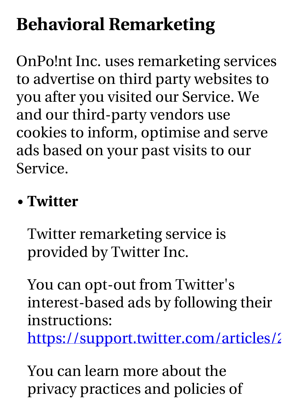### **Behavioral Remarketing**

OnPo!nt Inc. uses remarketing services to advertise on third party websites to you after you visited our Service. We and our third-party vendors use cookies to inform, optimise and serve ads based on your past visits to our Service.

#### **Twitter**

Twitter remarketing service is provided by Twitter Inc.

You can opt-out from Twitter's interest-based ads by following their instructions:

https://support.twitter.com/articles/2

You can learn more about the privacy practices and policies of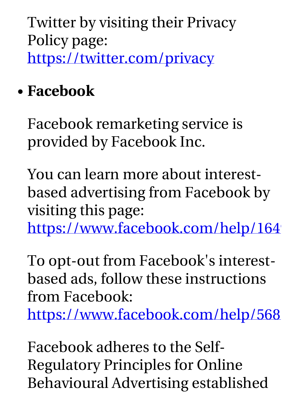Twitter by visiting their Privacy Policy page: <https://twitter.com/privacy>

#### **Facebook**

Facebook remarketing service is provided by Facebook Inc.

You can learn more about interest based advertising from Facebook by visiting this page:

https://www.facebook.com/help/164

To opt-out from Facebook's interest based ads, follow these instructions from Facebook:

https://www.facebook.com/help/568

Facebook adheres to the Self- Regulatory Principles for Online Behavioural Advertising established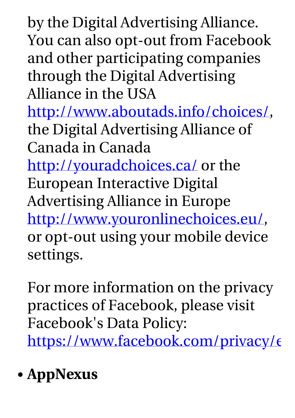by the Digital Advertising Alliance. You can also opt-out from Facebook and other participating companies through the Digital Advertising Alliance in the USA

[http://www.aboutads.info/choices/,](http://www.aboutads.info/choices/) the Digital Advertising Alliance of Canada in Canada

<http://youradchoices.ca/> or the European Interactive Digital Advertising Alliance in Europe <http://www.youronlinechoices.eu/>, or opt-out using your mobile device settings.

For more information on the privacy practices of Facebook, please visit Facebook's Data Policy:

https://www.facebook.com/privacy/ $\epsilon$ 

### **AppNexus**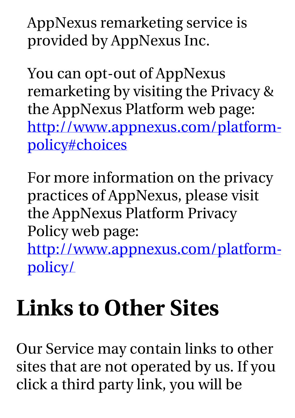AppNexus remarketing service is provided by AppNexus Inc.

You can opt-out of AppNexus remarketing by visiting the Privacy & the AppNexus Platform web page: [http://www.appnexus.com/platform](http://www.appnexus.com/platform-policy#choices) policy#choices

For more information on the privacy practices of AppNexus, please visit the AppNexus Platform Privacy Policy web page: [http://www.appnexus.com/platform-](http://www.appnexus.com/platform-policy/)

policy/

## **Links to Other Sites**

Our Service may contain links to other sites that are not operated by us. If you click a third party link, you will be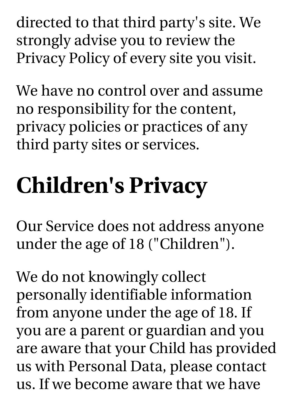directed to that third party's site. We strongly advise you to review the Privacy Policy of every site you visit.

We have no control over and assume no responsibility for the content, privacy policies or practices of any third party sites or services.

## **Children's Privacy**

Our Service does not address anyone under the age of 18 ("Children").

We do not knowingly collect personally identifiable information from anyone under the age of 18. If you are a parent or guardian and you are aware that your Child has provided us with Personal Data, please contact us. If we become aware that we have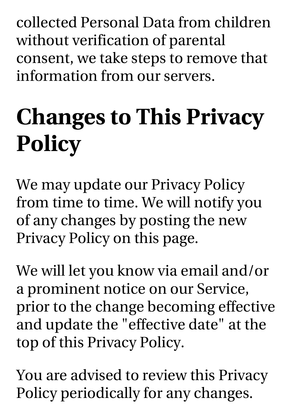collected Personal Data from children without verification of parental consent, we take steps to remove that information from our servers.

## **Changes to This Privacy Policy**

We may update our Privacy Policy from time to time. We will notify you of any changes by posting the new Privacy Policy on this page.

We will let you know via email and/or a prominent notice on our Service, prior to the change becoming effective and update the "effective date" at the top of this Privacy Policy.

You are advised to review this Privacy Policy periodically for any changes.